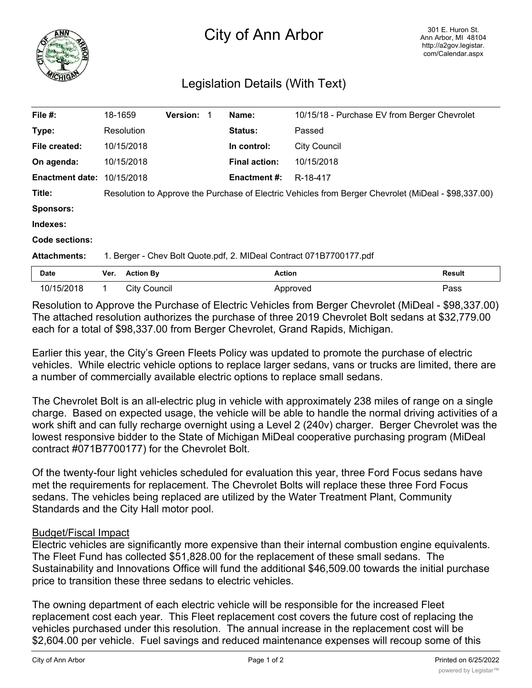

## City of Ann Arbor

## Legislation Details (With Text)

| File #:                | 18-1659                                                                                              |                     | <b>Version: 1</b> |  | Name:                | 10/15/18 - Purchase EV from Berger Chevrolet |               |
|------------------------|------------------------------------------------------------------------------------------------------|---------------------|-------------------|--|----------------------|----------------------------------------------|---------------|
| Type:                  |                                                                                                      | Resolution          |                   |  | <b>Status:</b>       | Passed                                       |               |
| File created:          |                                                                                                      | 10/15/2018          |                   |  | In control:          | <b>City Council</b>                          |               |
| On agenda:             |                                                                                                      | 10/15/2018          |                   |  | <b>Final action:</b> | 10/15/2018                                   |               |
| <b>Enactment date:</b> |                                                                                                      | 10/15/2018          |                   |  | <b>Enactment #:</b>  | R-18-417                                     |               |
| Title:                 | Resolution to Approve the Purchase of Electric Vehicles from Berger Chevrolet (MiDeal - \$98,337.00) |                     |                   |  |                      |                                              |               |
| <b>Sponsors:</b>       |                                                                                                      |                     |                   |  |                      |                                              |               |
| Indexes:               |                                                                                                      |                     |                   |  |                      |                                              |               |
| Code sections:         |                                                                                                      |                     |                   |  |                      |                                              |               |
| <b>Attachments:</b>    | 1. Berger - Chev Bolt Quote.pdf, 2. MIDeal Contract 071B7700177.pdf                                  |                     |                   |  |                      |                                              |               |
| <b>Date</b>            | Ver.                                                                                                 | <b>Action By</b>    |                   |  |                      | <b>Action</b>                                | <b>Result</b> |
| 10/15/2018             |                                                                                                      | <b>City Council</b> |                   |  |                      | Approved                                     | Pass          |

Resolution to Approve the Purchase of Electric Vehicles from Berger Chevrolet (MiDeal - \$98,337.00) The attached resolution authorizes the purchase of three 2019 Chevrolet Bolt sedans at \$32,779.00 each for a total of \$98,337.00 from Berger Chevrolet, Grand Rapids, Michigan.

Earlier this year, the City's Green Fleets Policy was updated to promote the purchase of electric vehicles. While electric vehicle options to replace larger sedans, vans or trucks are limited, there are a number of commercially available electric options to replace small sedans.

The Chevrolet Bolt is an all-electric plug in vehicle with approximately 238 miles of range on a single charge. Based on expected usage, the vehicle will be able to handle the normal driving activities of a work shift and can fully recharge overnight using a Level 2 (240v) charger. Berger Chevrolet was the lowest responsive bidder to the State of Michigan MiDeal cooperative purchasing program (MiDeal contract #071B7700177) for the Chevrolet Bolt.

Of the twenty-four light vehicles scheduled for evaluation this year, three Ford Focus sedans have met the requirements for replacement. The Chevrolet Bolts will replace these three Ford Focus sedans. The vehicles being replaced are utilized by the Water Treatment Plant, Community Standards and the City Hall motor pool.

## Budget/Fiscal Impact

Electric vehicles are significantly more expensive than their internal combustion engine equivalents. The Fleet Fund has collected \$51,828.00 for the replacement of these small sedans. The Sustainability and Innovations Office will fund the additional \$46,509.00 towards the initial purchase price to transition these three sedans to electric vehicles.

The owning department of each electric vehicle will be responsible for the increased Fleet replacement cost each year. This Fleet replacement cost covers the future cost of replacing the vehicles purchased under this resolution. The annual increase in the replacement cost will be \$2,604.00 per vehicle. Fuel savings and reduced maintenance expenses will recoup some of this